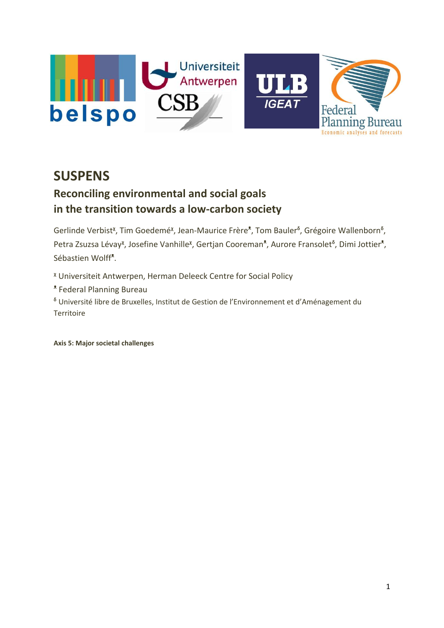

## **SUSPENS**

## **Reconciling environmental and social goals in the transition towards a low-carbon society**

Gerlinde Verbist<sup>x</sup>, Tim Goedemé<sup>x</sup>, Jean-Maurice Frère<sup>x</sup>, Tom Bauler<sup>6</sup>, Grégoire Wallenborn<sup>6</sup>, Petra Zsuzsa Lévay<sup>x</sup>, Josefine Vanhille<sup>x</sup>, Gertjan Cooreman<sup>\*</sup>, Aurore Fransolet<sup>6</sup>, Dimi Jottier<sup>\*</sup>, Sébastien Wolff<sup>\*</sup>.

ᵡ Universiteit Antwerpen, Herman Deleeck Centre for Social Policy

ᵜ Federal Planning Bureau

ᵟ Université libre de Bruxelles, Institut de Gestion de l'Environnement et d'Aménagement du **Territoire** 

**Axis 5: Major societal challenges**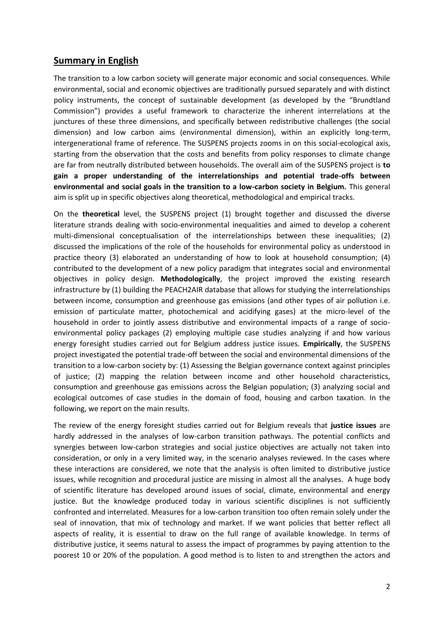## **Summary in English**

The transition to a low carbon society will generate major economic and social consequences. While environmental, social and economic objectives are traditionally pursued separately and with distinct policy instruments, the concept of sustainable development (as developed by the "Brundtland Commission") provides a useful framework to characterize the inherent interrelations at the junctures of these three dimensions, and specifically between redistributive challenges (the social dimension) and low carbon aims (environmental dimension), within an explicitly long-term, intergenerational frame of reference. The SUSPENS projects zooms in on this social-ecological axis, starting from the observation that the costs and benefits from policy responses to climate change are far from neutrally distributed between households. The overall aim of the SUSPENS project is **to gain a proper understanding of the interrelationships and potential trade-offs between environmental and social goals in the transition to a low-carbon society in Belgium.** This general aim is split up in specific objectives along theoretical, methodological and empirical tracks.

On the **theoretical** level, the SUSPENS project (1) brought together and discussed the diverse literature strands dealing with socio-environmental inequalities and aimed to develop a coherent multi-dimensional conceptualisation of the interrelationships between these inequalities; (2) discussed the implications of the role of the households for environmental policy as understood in practice theory (3) elaborated an understanding of how to look at household consumption; (4) contributed to the development of a new policy paradigm that integrates social and environmental objectives in policy design. **Methodologically**, the project improved the existing research infrastructure by (1) building the PEACH2AIR database that allows for studying the interrelationships between income, consumption and greenhouse gas emissions (and other types of air pollution i.e. emission of particulate matter, photochemical and acidifying gases) at the micro-level of the household in order to jointly assess distributive and environmental impacts of a range of socioenvironmental policy packages (2) employing multiple case studies analyzing if and how various energy foresight studies carried out for Belgium address justice issues. **Empirically**, the SUSPENS project investigated the potential trade-off between the social and environmental dimensions of the transition to a low-carbon society by: (1) Assessing the Belgian governance context against principles of justice; (2) mapping the relation between income and other household characteristics, consumption and greenhouse gas emissions across the Belgian population; (3) analyzing social and ecological outcomes of case studies in the domain of food, housing and carbon taxation. In the following, we report on the main results.

The review of the energy foresight studies carried out for Belgium reveals that **justice issues** are hardly addressed in the analyses of low-carbon transition pathways. The potential conflicts and synergies between low-carbon strategies and social justice objectives are actually not taken into consideration, or only in a very limited way, in the scenario analyses reviewed. In the cases where these interactions are considered, we note that the analysis is often limited to distributive justice issues, while recognition and procedural justice are missing in almost all the analyses. A huge body of scientific literature has developed around issues of social, climate, environmental and energy justice. But the knowledge produced today in various scientific disciplines is not sufficiently confronted and interrelated. Measures for a low-carbon transition too often remain solely under the seal of innovation, that mix of technology and market. If we want policies that better reflect all aspects of reality, it is essential to draw on the full range of available knowledge. In terms of distributive justice, it seems natural to assess the impact of programmes by paying attention to the poorest 10 or 20% of the population. A good method is to listen to and strengthen the actors and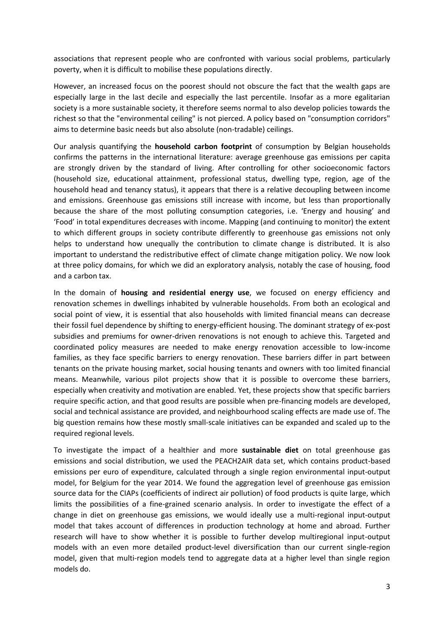associations that represent people who are confronted with various social problems, particularly poverty, when it is difficult to mobilise these populations directly.

However, an increased focus on the poorest should not obscure the fact that the wealth gaps are especially large in the last decile and especially the last percentile. Insofar as a more egalitarian society is a more sustainable society, it therefore seems normal to also develop policies towards the richest so that the "environmental ceiling" is not pierced. A policy based on "consumption corridors" aims to determine basic needs but also absolute (non-tradable) ceilings.

Our analysis quantifying the **household carbon footprint** of consumption by Belgian households confirms the patterns in the international literature: average greenhouse gas emissions per capita are strongly driven by the standard of living. After controlling for other socioeconomic factors (household size, educational attainment, professional status, dwelling type, region, age of the household head and tenancy status), it appears that there is a relative decoupling between income and emissions. Greenhouse gas emissions still increase with income, but less than proportionally because the share of the most polluting consumption categories, i.e. 'Energy and housing' and 'Food' in total expenditures decreases with income. Mapping (and continuing to monitor) the extent to which different groups in society contribute differently to greenhouse gas emissions not only helps to understand how unequally the contribution to climate change is distributed. It is also important to understand the redistributive effect of climate change mitigation policy. We now look at three policy domains, for which we did an exploratory analysis, notably the case of housing, food and a carbon tax.

In the domain of **housing and residential energy use**, we focused on energy efficiency and renovation schemes in dwellings inhabited by vulnerable households. From both an ecological and social point of view, it is essential that also households with limited financial means can decrease their fossil fuel dependence by shifting to energy-efficient housing. The dominant strategy of ex-post subsidies and premiums for owner-driven renovations is not enough to achieve this. Targeted and coordinated policy measures are needed to make energy renovation accessible to low-income families, as they face specific barriers to energy renovation. These barriers differ in part between tenants on the private housing market, social housing tenants and owners with too limited financial means. Meanwhile, various pilot projects show that it is possible to overcome these barriers, especially when creativity and motivation are enabled. Yet, these projects show that specific barriers require specific action, and that good results are possible when pre-financing models are developed, social and technical assistance are provided, and neighbourhood scaling effects are made use of. The big question remains how these mostly small-scale initiatives can be expanded and scaled up to the required regional levels.

To investigate the impact of a healthier and more **sustainable diet** on total greenhouse gas emissions and social distribution, we used the PEACH2AIR data set, which contains product-based emissions per euro of expenditure, calculated through a single region environmental input-output model, for Belgium for the year 2014. We found the aggregation level of greenhouse gas emission source data for the CIAPs (coefficients of indirect air pollution) of food products is quite large, which limits the possibilities of a fine-grained scenario analysis. In order to investigate the effect of a change in diet on greenhouse gas emissions, we would ideally use a multi-regional input-output model that takes account of differences in production technology at home and abroad. Further research will have to show whether it is possible to further develop multiregional input-output models with an even more detailed product-level diversification than our current single-region model, given that multi-region models tend to aggregate data at a higher level than single region models do.